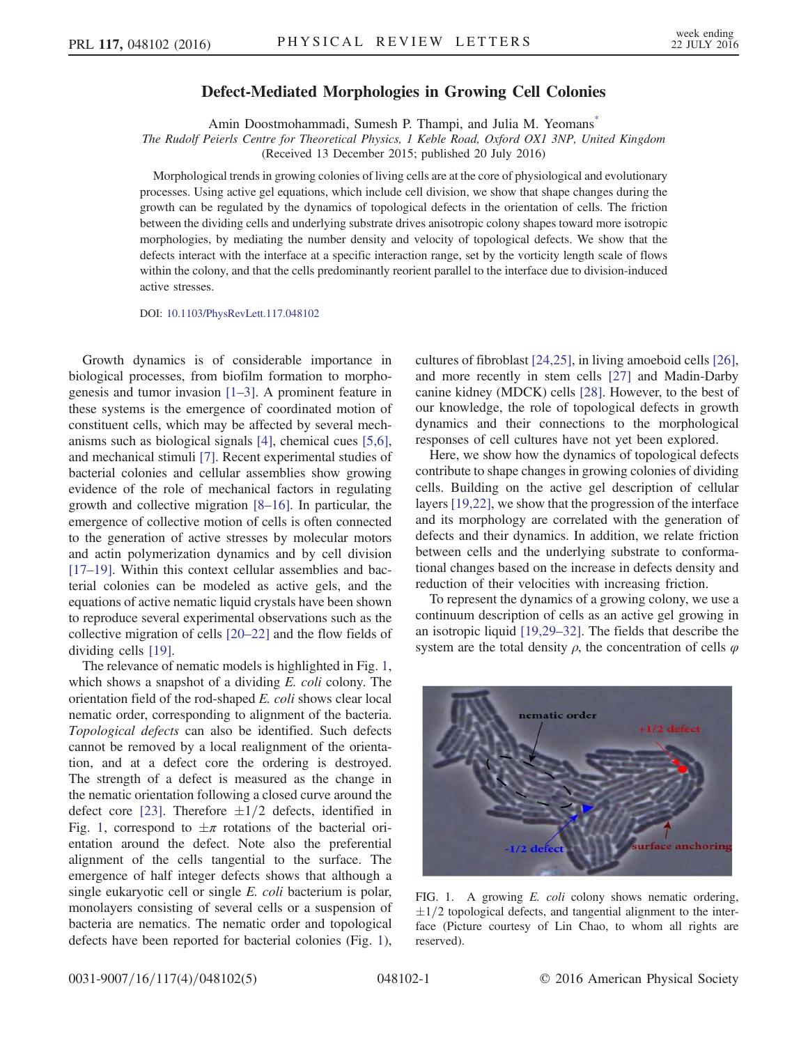## Defect-Mediated Morphologies in Growing Cell Colonies

Amin Doostmohammadi, Sumesh P. Thampi, and Julia M. Yeomans\*

The Rudolf Peierls Centre for Theoretical Physics, 1 Keble Road, Oxford OX1 3NP, United Kingdom

(Received 13 December 2015; published 20 July 2016)

Morphological trends in growing colonies of living cells are at the core of physiological and evolutionary processes. Using active gel equations, which include cell division, we show that shape changes during the growth can be regulated by the dynamics of topological defects in the orientation of cells. The friction between the dividing cells and underlying substrate drives anisotropic colony shapes toward more isotropic morphologies, by mediating the number density and velocity of topological defects. We show that the defects interact with the interface at a specific interaction range, set by the vorticity length scale of flows within the colony, and that the cells predominantly reorient parallel to the interface due to division-induced active stresses.

DOI: 10.1103/PhysRevLett.117.048102

Growth dynamics is of considerable importance in biological processes, from biofilm formation to morphogenesis and tumor invasion [1–3]. A prominent feature in these systems is the emergence of coordinated motion of constituent cells, which may be affected by several mechanisms such as biological signals [4], chemical cues [5,6], and mechanical stimuli [7]. Recent experimental studies of bacterial colonies and cellular assemblies show growing evidence of the role of mechanical factors in regulating growth and collective migration [8–16]. In particular, the emergence of collective motion of cells is often connected to the generation of active stresses by molecular motors and actin polymerization dynamics and by cell division [17–19]. Within this context cellular assemblies and bacterial colonies can be modeled as active gels, and the equations of active nematic liquid crystals have been shown to reproduce several experimental observations such as the collective migration of cells [20–22] and the flow fields of dividing cells [19].

The relevance of nematic models is highlighted in Fig. 1, which shows a snapshot of a dividing E. coli colony. The orientation field of the rod-shaped E. coli shows clear local nematic order, corresponding to alignment of the bacteria. Topological defects can also be identified. Such defects cannot be removed by a local realignment of the orientation, and at a defect core the ordering is destroyed. The strength of a defect is measured as the change in the nematic orientation following a closed curve around the defect core [23]. Therefore  $\pm 1/2$  defects, identified in Fig. 1, correspond to  $\pm \pi$  rotations of the bacterial orientation around the defect. Note also the preferential alignment of the cells tangential to the surface. The emergence of half integer defects shows that although a single eukaryotic cell or single E. coli bacterium is polar, monolayers consisting of several cells or a suspension of bacteria are nematics. The nematic order and topological defects have been reported for bacterial colonies (Fig. 1),

cultures of fibroblast [24,25], in living amoeboid cells [26], and more recently in stem cells [27] and Madin-Darby canine kidney (MDCK) cells [28]. However, to the best of our knowledge, the role of topological defects in growth dynamics and their connections to the morphological responses of cell cultures have not yet been explored.

Here, we show how the dynamics of topological defects contribute to shape changes in growing colonies of dividing cells. Building on the active gel description of cellular layers [19,22], we show that the progression of the interface and its morphology are correlated with the generation of defects and their dynamics. In addition, we relate friction between cells and the underlying substrate to conformational changes based on the increase in defects density and reduction of their velocities with increasing friction.

To represent the dynamics of a growing colony, we use a continuum description of cells as an active gel growing in an isotropic liquid [19,29–32]. The fields that describe the system are the total density  $\rho$ , the concentration of cells  $\varphi$ 



FIG. 1. A growing *E. coli* colony shows nematic ordering,  $\pm 1/2$  topological defects, and tangential alignment to the interface (Picture courtesy of Lin Chao, to whom all rights are reserved).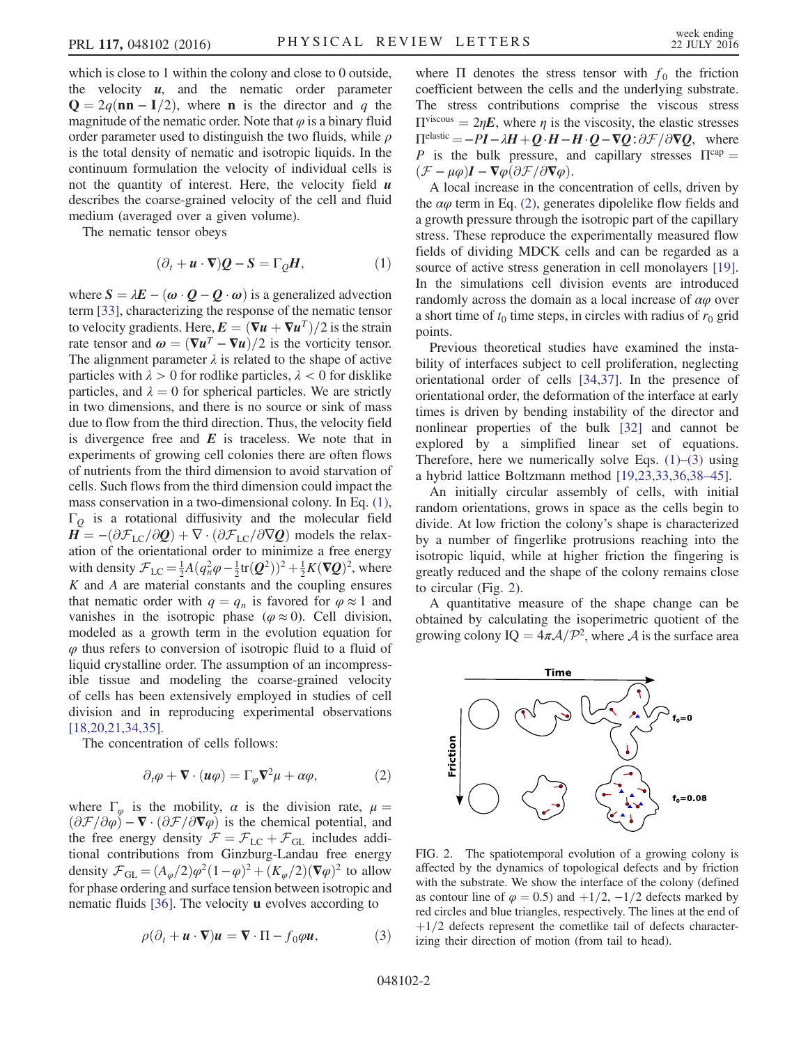which is close to 1 within the colony and close to 0 outside, the velocity  $u$ , and the nematic order parameter  $\mathbf{Q} = 2q(\mathbf{nn} - \mathbf{I}/2)$ , where **n** is the director and q the magnitude of the nematic order. Note that  $\varphi$  is a binary fluid order parameter used to distinguish the two fluids, while  $\rho$ is the total density of nematic and isotropic liquids. In the continuum formulation the velocity of individual cells is not the quantity of interest. Here, the velocity field  $\boldsymbol{u}$ describes the coarse-grained velocity of the cell and fluid medium (averaged over a given volume).

The nematic tensor obeys

$$
(\partial_t + \mathbf{u} \cdot \nabla) \mathbf{Q} - \mathbf{S} = \Gamma_{\mathbf{Q}} \mathbf{H},\tag{1}
$$

where  $S = \lambda E - (\omega \cdot Q - Q \cdot \omega)$  is a generalized advection term [33], characterizing the response of the nematic tensor to velocity gradients. Here,  $\mathbf{E} = (\nabla \mathbf{u} + \nabla \mathbf{u}^T)/2$  is the strain rate tensor and  $\boldsymbol{\omega} = (\nabla \boldsymbol{u}^T - \nabla \boldsymbol{u})/2$  is the vorticity tensor. The alignment parameter  $\lambda$  is related to the shape of active particles with  $\lambda > 0$  for rodlike particles,  $\lambda < 0$  for disklike particles, and  $\lambda = 0$  for spherical particles. We are strictly in two dimensions, and there is no source or sink of mass due to flow from the third direction. Thus, the velocity field is divergence free and  $E$  is traceless. We note that in experiments of growing cell colonies there are often flows of nutrients from the third dimension to avoid starvation of cells. Such flows from the third dimension could impact the mass conservation in a two-dimensional colony. In Eq. (1),  $\Gamma$ <sup>o</sup> is a rotational diffusivity and the molecular field  $H = -(\partial \mathcal{F}_{LC}/\partial Q) + \nabla \cdot (\partial \mathcal{F}_{LC}/\partial \nabla Q)$  models the relaxation of the orientational order to minimize a free energy with density  $\mathcal{F}_{LC} = \frac{1}{2}A(q_n^2\varphi - \frac{1}{2}\text{tr}(\mathbf{Q}^2))^2 + \frac{1}{2}K(\nabla \mathbf{Q})^2$ , where  $K$  and  $A$  are material constants and the coupling ensures that nematic order with  $q = q_n$  is favored for  $\varphi \approx 1$  and vanishes in the isotropic phase ( $\varphi \approx 0$ ). Cell division, modeled as a growth term in the evolution equation for  $\varphi$  thus refers to conversion of isotropic fluid to a fluid of liquid crystalline order. The assumption of an incompressible tissue and modeling the coarse-grained velocity of cells has been extensively employed in studies of cell division and in reproducing experimental observations [18,20,21,34,35].

The concentration of cells follows:

$$
\partial_t \varphi + \mathbf{\nabla} \cdot (\mathbf{u}\varphi) = \Gamma_\varphi \mathbf{\nabla}^2 \mu + \alpha \varphi, \tag{2}
$$

where  $\Gamma_{\varphi}$  is the mobility,  $\alpha$  is the division rate,  $\mu =$  $(\partial \mathcal{F}/\partial \varphi) - \nabla \cdot (\partial \mathcal{F}/\partial \nabla \varphi)$  is the chemical potential, and the free energy density  $\mathcal{F} = \mathcal{F}_{LC} + \mathcal{F}_{GL}$  includes additional contributions from Ginzburg-Landau free energy density  $\mathcal{F}_{\text{GL}} = (A_{\varphi}/2)\varphi^2(1-\varphi)^2 + (K_{\varphi}/2)(\nabla\varphi)^2$  to allow for phase ordering and surface tension between isotropic and nematic fluids [36]. The velocity u evolves according to

$$
\rho(\partial_t + \mathbf{u} \cdot \nabla) \mathbf{u} = \nabla \cdot \Pi - f_0 \varphi \mathbf{u}, \tag{3}
$$

where  $\Pi$  denotes the stress tensor with  $f_0$  the friction coefficient between the cells and the underlying substrate. The stress contributions comprise the viscous stress  $\Pi^{\text{viscous}} = 2\eta \mathbf{E}$ , where  $\eta$  is the viscosity, the elastic stresses  $\Pi^{\text{elastic}} = -PI - \lambda H + Q \cdot H - H \cdot Q - \nabla Q : \partial \mathcal{F} / \partial \nabla Q$ , where P is the bulk pressure, and capillary stresses  $\Pi^{\text{cap}} =$  $(\mathcal{F} - \mu \varphi) \mathbf{I} - \nabla \varphi (\partial \mathcal{F}/\partial \nabla \varphi).$ 

A local increase in the concentration of cells, driven by the  $\alpha\varphi$  term in Eq. (2), generates dipolelike flow fields and a growth pressure through the isotropic part of the capillary stress. These reproduce the experimentally measured flow fields of dividing MDCK cells and can be regarded as a source of active stress generation in cell monolayers [19]. In the simulations cell division events are introduced randomly across the domain as a local increase of  $\alpha\varphi$  over a short time of  $t_0$  time steps, in circles with radius of  $r_0$  grid points.

Previous theoretical studies have examined the instability of interfaces subject to cell proliferation, neglecting orientational order of cells [34,37]. In the presence of orientational order, the deformation of the interface at early times is driven by bending instability of the director and nonlinear properties of the bulk [32] and cannot be explored by a simplified linear set of equations. Therefore, here we numerically solve Eqs.  $(1)$ – $(3)$  using a hybrid lattice Boltzmann method [19,23,33,36,38–45].

An initially circular assembly of cells, with initial random orientations, grows in space as the cells begin to divide. At low friction the colony's shape is characterized by a number of fingerlike protrusions reaching into the isotropic liquid, while at higher friction the fingering is greatly reduced and the shape of the colony remains close to circular (Fig. 2).

A quantitative measure of the shape change can be obtained by calculating the isoperimetric quotient of the growing colony IQ =  $4\pi A/\mathcal{P}^2$ , where A is the surface area



FIG. 2. The spatiotemporal evolution of a growing colony is affected by the dynamics of topological defects and by friction with the substrate. We show the interface of the colony (defined as contour line of  $\varphi = 0.5$ ) and  $+1/2$ ,  $-1/2$  defects marked by red circles and blue triangles, respectively. The lines at the end of  $+1/2$  defects represent the cometlike tail of defects characterizing their direction of motion (from tail to head).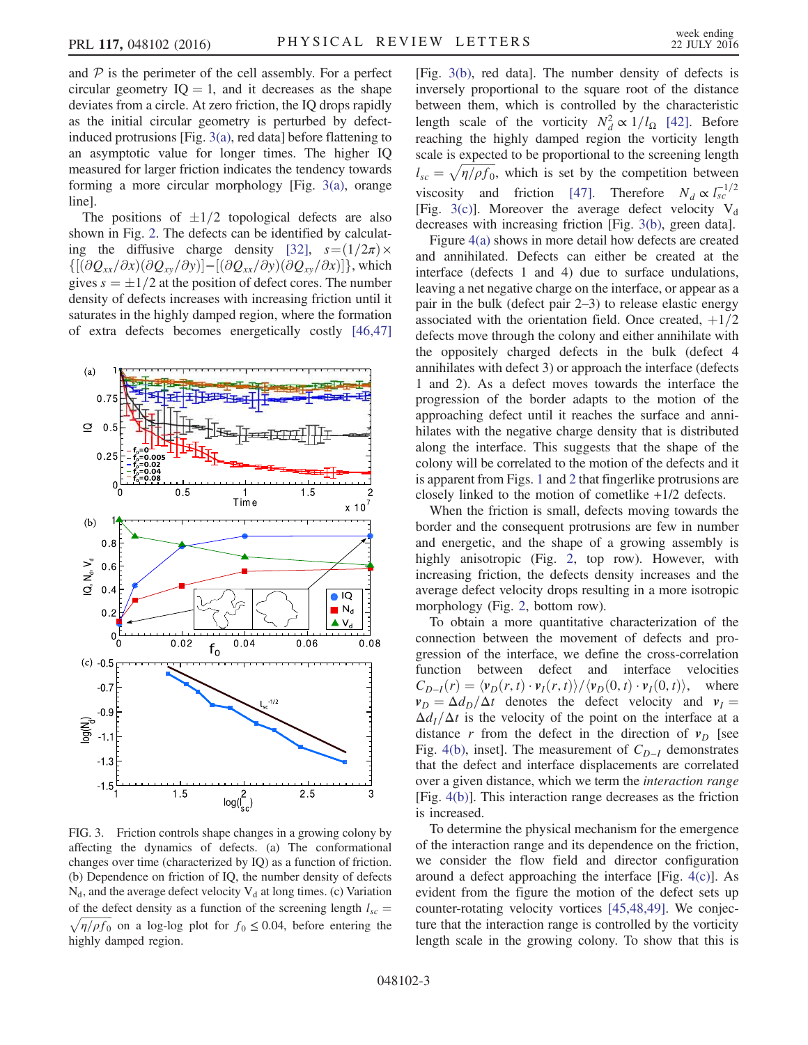and  $P$  is the perimeter of the cell assembly. For a perfect circular geometry  $IQ = 1$ , and it decreases as the shape deviates from a circle. At zero friction, the IQ drops rapidly as the initial circular geometry is perturbed by defectinduced protrusions [Fig. 3(a), red data] before flattening to an asymptotic value for longer times. The higher IQ measured for larger friction indicates the tendency towards forming a more circular morphology [Fig. 3(a), orange line].

The positions of  $\pm 1/2$  topological defects are also shown in Fig. 2. The defects can be identified by calculating the diffusive charge density [32],  $s = (1/2\pi) \times$  $\{ [(\partial Q_{xx}/\partial x)(\partial Q_{xy}/\partial y)] - [(\partial Q_{xx}/\partial y)(\partial Q_{xy}/\partial x)] \}$ , which gives  $s = \pm 1/2$  at the position of defect cores. The number density of defects increases with increasing friction until it saturates in the highly damped region, where the formation of extra defects becomes energetically costly [46,47]



FIG. 3. Friction controls shape changes in a growing colony by affecting the dynamics of defects. (a) The conformational changes over time (characterized by IQ) as a function of friction. (b) Dependence on friction of IQ, the number density of defects  $N_d$ , and the average defect velocity  $V_d$  at long times. (c) Variation of the defect density as a function of the screening length  $l_{sc}$  =  $\sqrt{\eta/\rho f_0}$  on a log-log plot for  $f_0 \le 0.04$ , before entering the highly damped region.

[Fig. 3(b), red data]. The number density of defects is inversely proportional to the square root of the distance between them, which is controlled by the characteristic length scale of the vorticity  $N_d^2 \propto 1/l_\Omega$  [42]. Before reaching the highly damped region the vorticity length scale is expected to be proportional to the screening length  $l_{sc} = \sqrt{\frac{\eta}{\rho f_0}}$ , which is set by the competition between viscosity and friction [47]. Therefore  $N_d \propto l_{sc}^{-1/2}$ [Fig. 3(c)]. Moreover the average defect velocity  $V_d$ decreases with increasing friction [Fig. 3(b), green data].

Figure 4(a) shows in more detail how defects are created and annihilated. Defects can either be created at the interface (defects 1 and 4) due to surface undulations, leaving a net negative charge on the interface, or appear as a pair in the bulk (defect pair 2–3) to release elastic energy associated with the orientation field. Once created,  $+1/2$ defects move through the colony and either annihilate with the oppositely charged defects in the bulk (defect 4 annihilates with defect 3) or approach the interface (defects 1 and 2). As a defect moves towards the interface the progression of the border adapts to the motion of the approaching defect until it reaches the surface and annihilates with the negative charge density that is distributed along the interface. This suggests that the shape of the colony will be correlated to the motion of the defects and it is apparent from Figs. 1 and 2 that fingerlike protrusions are closely linked to the motion of cometlike +1/2 defects.

When the friction is small, defects moving towards the border and the consequent protrusions are few in number and energetic, and the shape of a growing assembly is highly anisotropic (Fig. 2, top row). However, with increasing friction, the defects density increases and the average defect velocity drops resulting in a more isotropic morphology (Fig. 2, bottom row).

To obtain a more quantitative characterization of the connection between the movement of defects and progression of the interface, we define the cross-correlation function between defect and interface velocities  $C_{D-I}(r) = \langle v_D(r, t) \cdot v_I(r, t) \rangle / \langle v_D(0, t) \cdot v_I(0, t) \rangle$ , where  $v_D = \Delta d_D/\Delta t$  denotes the defect velocity and  $v_I =$  $\Delta d_I/\Delta t$  is the velocity of the point on the interface at a distance r from the defect in the direction of  $v_D$  [see Fig. 4(b), inset]. The measurement of  $C_{D-I}$  demonstrates that the defect and interface displacements are correlated over a given distance, which we term the interaction range [Fig. 4(b)]. This interaction range decreases as the friction is increased.

To determine the physical mechanism for the emergence of the interaction range and its dependence on the friction, we consider the flow field and director configuration around a defect approaching the interface [Fig. 4(c)]. As evident from the figure the motion of the defect sets up counter-rotating velocity vortices [45,48,49]. We conjecture that the interaction range is controlled by the vorticity length scale in the growing colony. To show that this is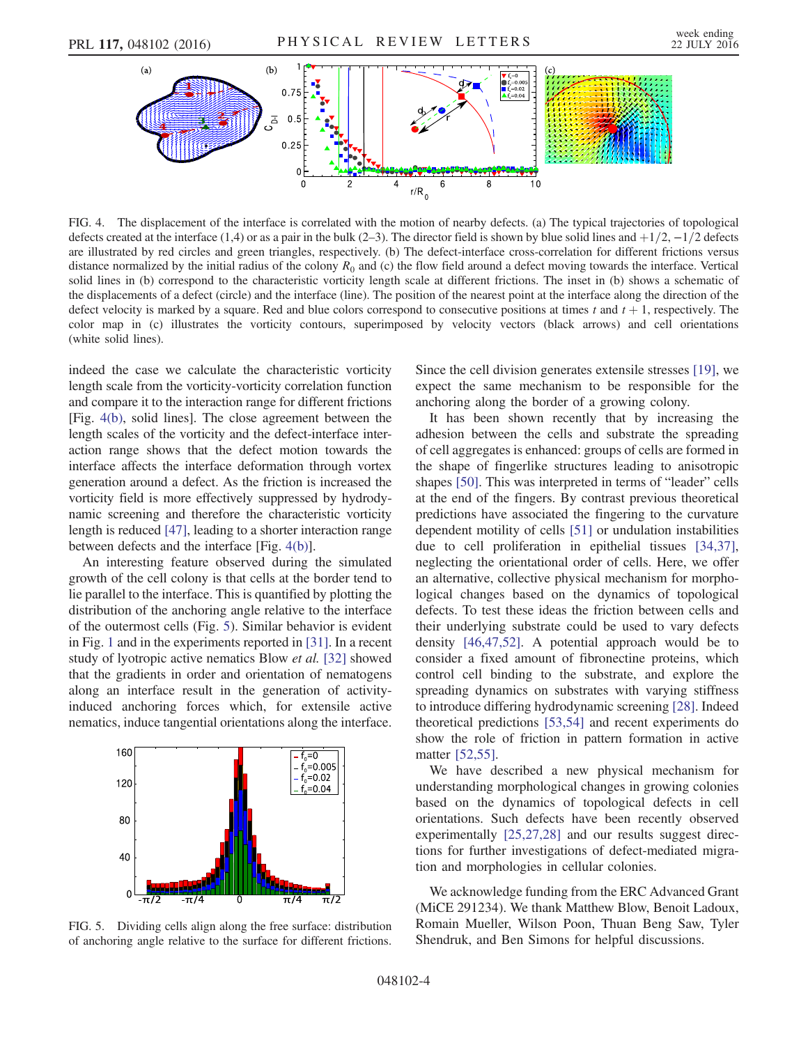

FIG. 4. The displacement of the interface is correlated with the motion of nearby defects. (a) The typical trajectories of topological defects created at the interface (1,4) or as a pair in the bulk (2–3). The director field is shown by blue solid lines and  $+1/2$ ,  $-1/2$  defects are illustrated by red circles and green triangles, respectively. (b) The defect-interface cross-correlation for different frictions versus distance normalized by the initial radius of the colony  $R_0$  and (c) the flow field around a defect moving towards the interface. Vertical solid lines in (b) correspond to the characteristic vorticity length scale at different frictions. The inset in (b) shows a schematic of the displacements of a defect (circle) and the interface (line). The position of the nearest point at the interface along the direction of the defect velocity is marked by a square. Red and blue colors correspond to consecutive positions at times t and  $t + 1$ , respectively. The color map in (c) illustrates the vorticity contours, superimposed by velocity vectors (black arrows) and cell orientations (white solid lines).

indeed the case we calculate the characteristic vorticity length scale from the vorticity-vorticity correlation function and compare it to the interaction range for different frictions [Fig. 4(b), solid lines]. The close agreement between the length scales of the vorticity and the defect-interface interaction range shows that the defect motion towards the interface affects the interface deformation through vortex generation around a defect. As the friction is increased the vorticity field is more effectively suppressed by hydrodynamic screening and therefore the characteristic vorticity length is reduced [47], leading to a shorter interaction range between defects and the interface [Fig. 4(b)].

An interesting feature observed during the simulated growth of the cell colony is that cells at the border tend to lie parallel to the interface. This is quantified by plotting the distribution of the anchoring angle relative to the interface of the outermost cells (Fig. 5). Similar behavior is evident in Fig. 1 and in the experiments reported in [31]. In a recent study of lyotropic active nematics Blow et al. [32] showed that the gradients in order and orientation of nematogens along an interface result in the generation of activityinduced anchoring forces which, for extensile active nematics, induce tangential orientations along the interface.



FIG. 5. Dividing cells align along the free surface: distribution of anchoring angle relative to the surface for different frictions.

Since the cell division generates extensile stresses [19], we expect the same mechanism to be responsible for the anchoring along the border of a growing colony.

It has been shown recently that by increasing the adhesion between the cells and substrate the spreading of cell aggregates is enhanced: groups of cells are formed in the shape of fingerlike structures leading to anisotropic shapes [50]. This was interpreted in terms of "leader" cells at the end of the fingers. By contrast previous theoretical predictions have associated the fingering to the curvature dependent motility of cells [51] or undulation instabilities due to cell proliferation in epithelial tissues [34,37], neglecting the orientational order of cells. Here, we offer an alternative, collective physical mechanism for morphological changes based on the dynamics of topological defects. To test these ideas the friction between cells and their underlying substrate could be used to vary defects density [46,47,52]. A potential approach would be to consider a fixed amount of fibronectine proteins, which control cell binding to the substrate, and explore the spreading dynamics on substrates with varying stiffness to introduce differing hydrodynamic screening [28]. Indeed theoretical predictions [53,54] and recent experiments do show the role of friction in pattern formation in active matter [52,55].

We have described a new physical mechanism for understanding morphological changes in growing colonies based on the dynamics of topological defects in cell orientations. Such defects have been recently observed experimentally [25,27,28] and our results suggest directions for further investigations of defect-mediated migration and morphologies in cellular colonies.

We acknowledge funding from the ERC Advanced Grant (MiCE 291234). We thank Matthew Blow, Benoit Ladoux, Romain Mueller, Wilson Poon, Thuan Beng Saw, Tyler Shendruk, and Ben Simons for helpful discussions.